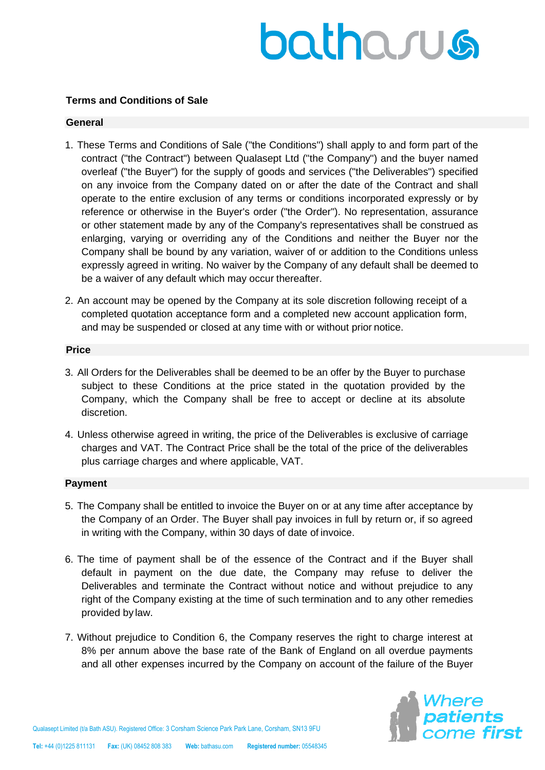# batharus

# **Terms and Conditions of Sale**

# **General**

- 1. These Terms and Conditions of Sale ("the Conditions") shall apply to and form part of the contract ("the Contract") between Qualasept Ltd ("the Company") and the buyer named overleaf ("the Buyer") for the supply of goods and services ("the Deliverables") specified on any invoice from the Company dated on or after the date of the Contract and shall operate to the entire exclusion of any terms or conditions incorporated expressly or by reference or otherwise in the Buyer's order ("the Order"). No representation, assurance or other statement made by any of the Company's representatives shall be construed as enlarging, varying or overriding any of the Conditions and neither the Buyer nor the Company shall be bound by any variation, waiver of or addition to the Conditions unless expressly agreed in writing. No waiver by the Company of any default shall be deemed to be a waiver of any default which may occur thereafter.
- 2. An account may be opened by the Company at its sole discretion following receipt of a completed quotation acceptance form and a completed new account application form, and may be suspended or closed at any time with or without prior notice.

#### **Price**

- 3. All Orders for the Deliverables shall be deemed to be an offer by the Buyer to purchase subject to these Conditions at the price stated in the quotation provided by the Company, which the Company shall be free to accept or decline at its absolute discretion.
- 4. Unless otherwise agreed in writing, the price of the Deliverables is exclusive of carriage charges and VAT. The Contract Price shall be the total of the price of the deliverables plus carriage charges and where applicable, VAT.

#### **Payment**

- 5. The Company shall be entitled to invoice the Buyer on or at any time after acceptance by the Company of an Order. The Buyer shall pay invoices in full by return or, if so agreed in writing with the Company, within 30 days of date of invoice.
- 6. The time of payment shall be of the essence of the Contract and if the Buyer shall default in payment on the due date, the Company may refuse to deliver the Deliverables and terminate the Contract without notice and without prejudice to any right of the Company existing at the time of such termination and to any other remedies provided by law.
- 7. Without prejudice to Condition 6, the Company reserves the right to charge interest at 8% per annum above the base rate of the Bank of England on all overdue payments and all other expenses incurred by the Company on account of the failure of the Buyer

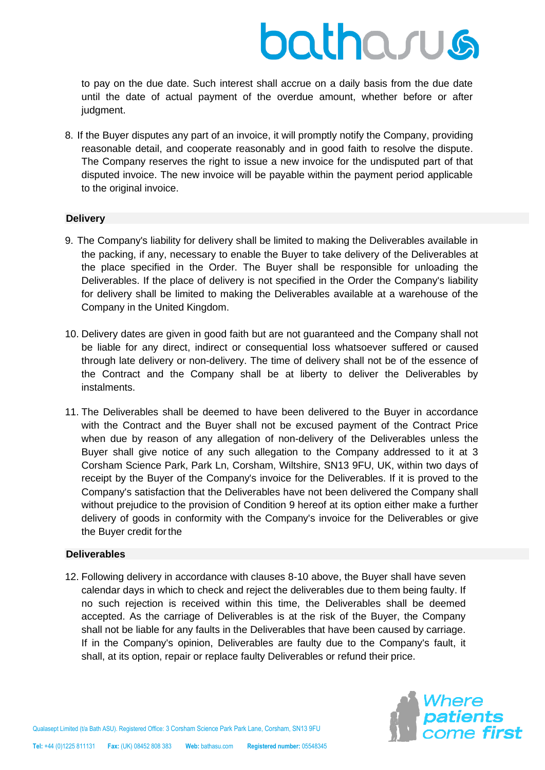# batharus

to pay on the due date. Such interest shall accrue on a daily basis from the due date until the date of actual payment of the overdue amount, whether before or after judgment.

8. If the Buyer disputes any part of an invoice, it will promptly notify the Company, providing reasonable detail, and cooperate reasonably and in good faith to resolve the dispute. The Company reserves the right to issue a new invoice for the undisputed part of that disputed invoice. The new invoice will be payable within the payment period applicable to the original invoice.

# **Delivery**

- 9. The Company's liability for delivery shall be limited to making the Deliverables available in the packing, if any, necessary to enable the Buyer to take delivery of the Deliverables at the place specified in the Order. The Buyer shall be responsible for unloading the Deliverables. If the place of delivery is not specified in the Order the Company's liability for delivery shall be limited to making the Deliverables available at a warehouse of the Company in the United Kingdom.
- 10. Delivery dates are given in good faith but are not guaranteed and the Company shall not be liable for any direct, indirect or consequential loss whatsoever suffered or caused through late delivery or non-delivery. The time of delivery shall not be of the essence of the Contract and the Company shall be at liberty to deliver the Deliverables by instalments.
- 11. The Deliverables shall be deemed to have been delivered to the Buyer in accordance with the Contract and the Buyer shall not be excused payment of the Contract Price when due by reason of any allegation of non-delivery of the Deliverables unless the Buyer shall give notice of any such allegation to the Company addressed to it at 3 Corsham Science Park, Park Ln, Corsham, Wiltshire, SN13 9FU, UK, within two days of receipt by the Buyer of the Company's invoice for the Deliverables. If it is proved to the Company's satisfaction that the Deliverables have not been delivered the Company shall without prejudice to the provision of Condition 9 hereof at its option either make a further delivery of goods in conformity with the Company's invoice for the Deliverables or give the Buyer credit forthe

#### **Deliverables**

12. Following delivery in accordance with clauses 8-10 above, the Buyer shall have seven calendar days in which to check and reject the deliverables due to them being faulty. If no such rejection is received within this time, the Deliverables shall be deemed accepted. As the carriage of Deliverables is at the risk of the Buyer, the Company shall not be liable for any faults in the Deliverables that have been caused by carriage. If in the Company's opinion, Deliverables are faulty due to the Company's fault, it shall, at its option, repair or replace faulty Deliverables or refund their price.

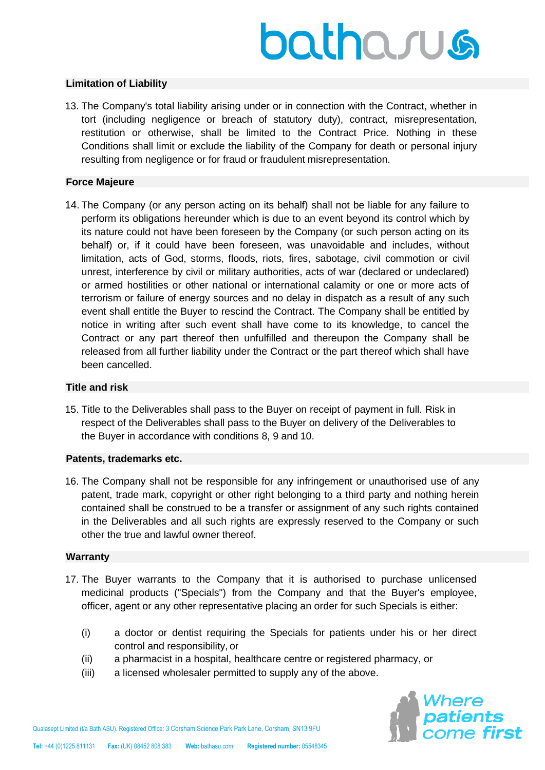# batharus

# **Limitation of Liability**

13. The Company's total liability arising under or in connection with the Contract, whether in tort (including negligence or breach of statutory duty), contract, misrepresentation, restitution or otherwise, shall be limited to the Contract Price. Nothing in these Conditions shall limit or exclude the liability of the Company for death or personal injury resulting from negligence or for fraud or fraudulent misrepresentation.

# **Force Majeure**

14. The Company (or any person acting on its behalf) shall not be liable for any failure to perform its obligations hereunder which is due to an event beyond its control which by its nature could not have been foreseen by the Company (or such person acting on its behalf) or, if it could have been foreseen, was unavoidable and includes, without limitation, acts of God, storms, floods, riots, fires, sabotage, civil commotion or civil unrest, interference by civil or military authorities, acts of war (declared or undeclared) or armed hostilities or other national or international calamity or one or more acts of terrorism or failure of energy sources and no delay in dispatch as a result of any such event shall entitle the Buyer to rescind the Contract. The Company shall be entitled by notice in writing after such event shall have come to its knowledge, to cancel the Contract or any part thereof then unfulfilled and thereupon the Company shall be released from all further liability under the Contract or the part thereof which shall have been cancelled.

# **Title and risk**

15. Title to the Deliverables shall pass to the Buyer on receipt of payment in full. Risk in respect of the Deliverables shall pass to the Buyer on delivery of the Deliverables to the Buyer in accordance with conditions 8, 9 and 10.

#### **Patents, trademarks etc.**

16. The Company shall not be responsible for any infringement or unauthorised use of any patent, trade mark, copyright or other right belonging to a third party and nothing herein contained shall be construed to be a transfer or assignment of any such rights contained in the Deliverables and all such rights are expressly reserved to the Company or such other the true and lawful owner thereof.

#### **Warranty**

- 17. The Buyer warrants to the Company that it is authorised to purchase unlicensed medicinal products ("Specials") from the Company and that the Buyer's employee, officer, agent or any other representative placing an order for such Specials is either:
	- (i) a doctor or dentist requiring the Specials for patients under his or her direct control and responsibility, or
	- (ii) a pharmacist in a hospital, healthcare centre or registered pharmacy, or
	- (iii) a licensed wholesaler permitted to supply any of the above.

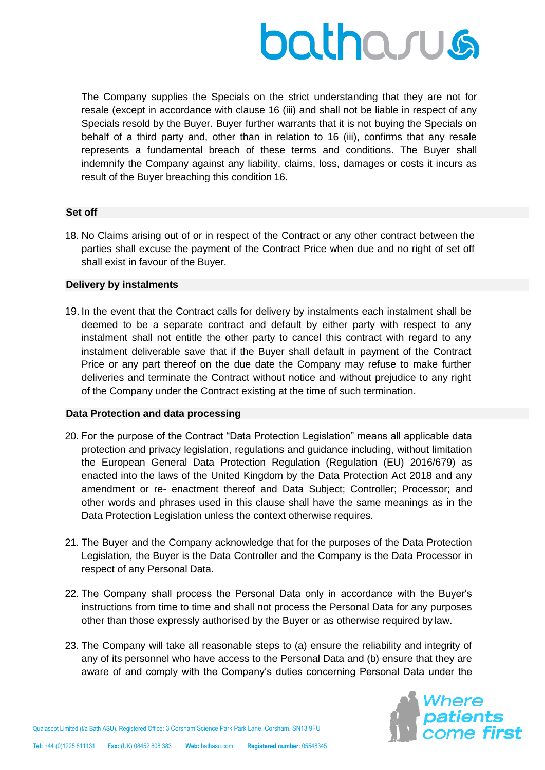

The Company supplies the Specials on the strict understanding that they are not for resale (except in accordance with clause 16 (iii) and shall not be liable in respect of any Specials resold by the Buyer. Buyer further warrants that it is not buying the Specials on behalf of a third party and, other than in relation to 16 (iii), confirms that any resale represents a fundamental breach of these terms and conditions. The Buyer shall indemnify the Company against any liability, claims, loss, damages or costs it incurs as result of the Buyer breaching this condition 16.

#### **Set off**

18. No Claims arising out of or in respect of the Contract or any other contract between the parties shall excuse the payment of the Contract Price when due and no right of set off shall exist in favour of the Buyer.

#### **Delivery by instalments**

19. In the event that the Contract calls for delivery by instalments each instalment shall be deemed to be a separate contract and default by either party with respect to any instalment shall not entitle the other party to cancel this contract with regard to any instalment deliverable save that if the Buyer shall default in payment of the Contract Price or any part thereof on the due date the Company may refuse to make further deliveries and terminate the Contract without notice and without prejudice to any right of the Company under the Contract existing at the time of such termination.

#### **Data Protection and data processing**

- 20. For the purpose of the Contract "Data Protection Legislation" means all applicable data protection and privacy legislation, regulations and guidance including, without limitation the European General Data Protection Regulation (Regulation (EU) 2016/679) as enacted into the laws of the United Kingdom by the Data Protection Act 2018 and any amendment or re- enactment thereof and Data Subject; Controller; Processor; and other words and phrases used in this clause shall have the same meanings as in the Data Protection Legislation unless the context otherwise requires.
- 21. The Buyer and the Company acknowledge that for the purposes of the Data Protection Legislation, the Buyer is the Data Controller and the Company is the Data Processor in respect of any Personal Data.
- 22. The Company shall process the Personal Data only in accordance with the Buyer's instructions from time to time and shall not process the Personal Data for any purposes other than those expressly authorised by the Buyer or as otherwise required by law.
- 23. The Company will take all reasonable steps to (a) ensure the reliability and integrity of any of its personnel who have access to the Personal Data and (b) ensure that they are aware of and comply with the Company's duties concerning Personal Data under the

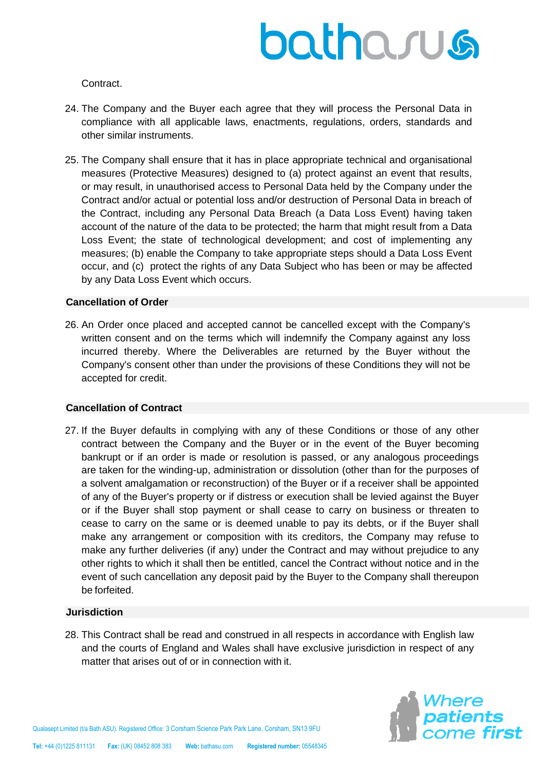

Contract.

- 24. The Company and the Buyer each agree that they will process the Personal Data in compliance with all applicable laws, enactments, regulations, orders, standards and other similar instruments.
- 25. The Company shall ensure that it has in place appropriate technical and organisational measures (Protective Measures) designed to (a) protect against an event that results, or may result, in unauthorised access to Personal Data held by the Company under the Contract and/or actual or potential loss and/or destruction of Personal Data in breach of the Contract, including any Personal Data Breach (a Data Loss Event) having taken account of the nature of the data to be protected; the harm that might result from a Data Loss Event; the state of technological development; and cost of implementing any measures; (b) enable the Company to take appropriate steps should a Data Loss Event occur, and (c) protect the rights of any Data Subject who has been or may be affected by any Data Loss Event which occurs.

# **Cancellation of Order**

26. An Order once placed and accepted cannot be cancelled except with the Company's written consent and on the terms which will indemnify the Company against any loss incurred thereby. Where the Deliverables are returned by the Buyer without the Company's consent other than under the provisions of these Conditions they will not be accepted for credit.

#### **Cancellation of Contract**

27. If the Buyer defaults in complying with any of these Conditions or those of any other contract between the Company and the Buyer or in the event of the Buyer becoming bankrupt or if an order is made or resolution is passed, or any analogous proceedings are taken for the winding-up, administration or dissolution (other than for the purposes of a solvent amalgamation or reconstruction) of the Buyer or if a receiver shall be appointed of any of the Buyer's property or if distress or execution shall be levied against the Buyer or if the Buyer shall stop payment or shall cease to carry on business or threaten to cease to carry on the same or is deemed unable to pay its debts, or if the Buyer shall make any arrangement or composition with its creditors, the Company may refuse to make any further deliveries (if any) under the Contract and may without prejudice to any other rights to which it shall then be entitled, cancel the Contract without notice and in the event of such cancellation any deposit paid by the Buyer to the Company shall thereupon be forfeited.

#### **Jurisdiction**

28. This Contract shall be read and construed in all respects in accordance with English law and the courts of England and Wales shall have exclusive jurisdiction in respect of any matter that arises out of or in connection with it.